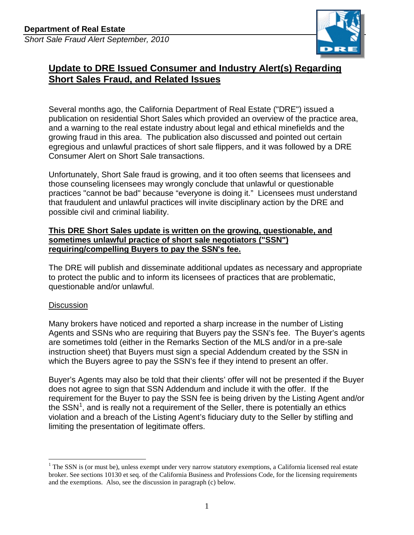

# **Update to DRE Issued Consumer and Industry Alert(s) Regarding Short Sales Fraud, and Related Issues**

 publication on residential Short Sales which provided an overview of the practice area, growing fraud in this area. The publication also discussed and pointed out certain Several months ago, the California Department of Real Estate ("DRE") issued a and a warning to the real estate industry about legal and ethical minefields and the egregious and unlawful practices of short sale flippers, and it was followed by a DRE Consumer Alert on Short Sale transactions.

 practices "cannot be bad" because "everyone is doing it." Licensees must understand possible civil and criminal liability. Unfortunately, Short Sale fraud is growing, and it too often seems that licensees and those counseling licensees may wrongly conclude that unlawful or questionable that fraudulent and unlawful practices will invite disciplinary action by the DRE and

### **requiring/compelling Buyers to pay the SSN's fee. This DRE Short Sales update is written on the growing, questionable, and sometimes unlawful practice of short sale negotiators ("SSN")**

questionable and/or unlawful.<br><u>Discussion</u> The DRE will publish and disseminate additional updates as necessary and appropriate to protect the public and to inform its licensees of practices that are problematic,

 Many brokers have noticed and reported a sharp increase in the number of Listing Agents and SSNs who are requiring that Buyers pay the SSN's fee. The Buyer's agents which the Buyers agree to pay the SSN's fee if they intend to present an offer. are sometimes told (either in the Remarks Section of the MLS and/or in a pre-sale instruction sheet) that Buyers must sign a special Addendum created by the SSN in

 does not agree to sign that SSN Addendum and include it with the offer. If the requirement for the Buyer to pay the SSN fee is being driven by the Listing Agent and/or the  $SSN<sup>1</sup>$ , and is really not a requirement of the Seller, there is potentially an ethics limiting the presentation of legitimate offers. Buyer's Agents may also be told that their clients' offer will not be presented if the Buyer violation and a breach of the Listing Agent's fiduciary duty to the Seller by stifling and

 $\overline{a}$  and the exemptions. Also, see the discussion in paragraph (c) below.  $1$  The SSN is (or must be), unless exempt under very narrow statutory exemptions, a California licensed real estate broker. See sections 10130 et seq. of the California Business and Professions Code, for the licensing requirements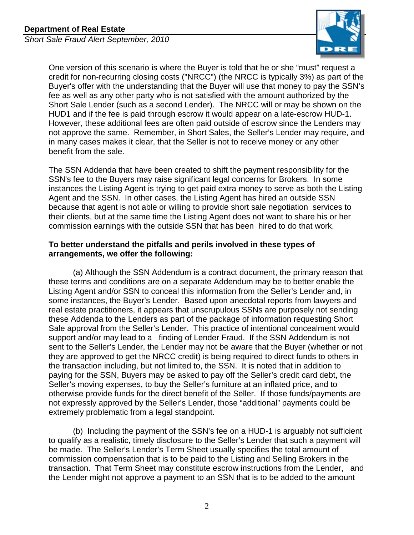

 Short Sale Lender (such as a second Lender). The NRCC will or may be shown on the not approve the same. Remember, in Short Sales, the Seller's Lender may require, and One version of this scenario is where the Buyer is told that he or she "must" request a credit for non-recurring closing costs ("NRCC") (the NRCC is typically 3%) as part of the Buyer's offer with the understanding that the Buyer will use that money to pay the SSN's fee as well as any other party who is not satisfied with the amount authorized by the HUD1 and if the fee is paid through escrow it would appear on a late-escrow HUD-1. However, these additional fees are often paid outside of escrow since the Lenders may in many cases makes it clear, that the Seller is not to receive money or any other benefit from the sale.

 SSN's fee to the Buyers may raise significant legal concerns for Brokers. In some Agent and the SSN. In other cases, the Listing Agent has hired an outside SSN because that agent is not able or willing to provide short sale negotiation services to their clients, but at the same time the Listing Agent does not want to share his or her commission earnings with the outside SSN that has been hired to do that work. The SSN Addenda that have been created to shift the payment responsibility for the instances the Listing Agent is trying to get paid extra money to serve as both the Listing

## **To better understand the pitfalls and perils involved in these types of arrangements, we offer the following:**

 these terms and conditions are on a separate Addendum may be to better enable the some instances, the Buyer's Lender. Based upon anecdotal reports from lawyers and these Addenda to the Lenders as part of the package of information requesting Short Sale approval from the Seller's Lender. This practice of intentional concealment would support and/or may lead to a finding of Lender Fraud. If the SSN Addendum is not sent to the Seller's Lender, the Lender may not be aware that the Buyer (whether or not the transaction including, but not limited to, the SSN. It is noted that in addition to extremely problematic from a legal standpoint. (a) Although the SSN Addendum is a contract document, the primary reason that Listing Agent and/or SSN to conceal this information from the Seller's Lender and, in real estate practitioners, it appears that unscrupulous SSNs are purposely not sending they are approved to get the NRCC credit) is being required to direct funds to others in paying for the SSN, Buyers may be asked to pay off the Seller's credit card debt, the Seller's moving expenses, to buy the Seller's furniture at an inflated price, and to otherwise provide funds for the direct benefit of the Seller. If those funds/payments are not expressly approved by the Seller's Lender, those "additional" payments could be

 (b) Including the payment of the SSN's fee on a HUD-1 is arguably not sufficient be made. The Seller's Lender's Term Sheet usually specifies the total amount of commission compensation that is to be paid to the Listing and Selling Brokers in the transaction. That Term Sheet may constitute escrow instructions from the Lender, and the Lender might not approve a payment to an SSN that is to be added to the amount to qualify as a realistic, timely disclosure to the Seller's Lender that such a payment will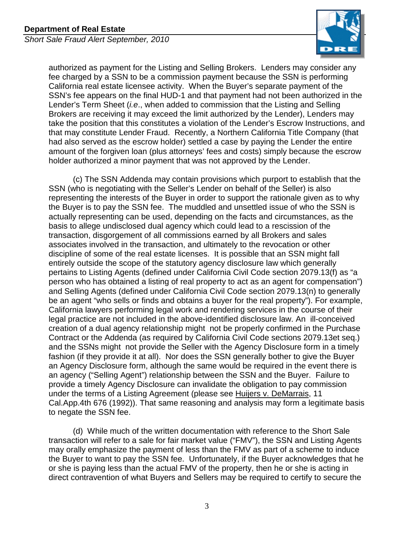

 authorized as payment for the Listing and Selling Brokers. Lenders may consider any California real estate licensee activity. When the Buyer's separate payment of the SSN's fee appears on the final HUD-1 and that payment had not been authorized in the Lender's Term Sheet (*i.e*., when added to commission that the Listing and Selling take the position that this constitutes a violation of the Lender's Escrow Instructions, and that may constitute Lender Fraud. Recently, a Northern California Title Company (that amount of the forgiven loan (plus attorneys' fees and costs) simply because the escrow holder authorized a minor payment that was not approved by the Lender. fee charged by a SSN to be a commission payment because the SSN is performing Brokers are receiving it may exceed the limit authorized by the Lender), Lenders may had also served as the escrow holder) settled a case by paying the Lender the entire

 the Buyer is to pay the SSN fee. The muddled and unsettled issue of who the SSN is transaction, disgorgement of all commissions earned by all Brokers and sales discipline of some of the real estate licenses. It is possible that an SSN might fall be an agent "who sells or finds and obtains a buyer for the real property"). For example, creation of a dual agency relationship might not be properly confirmed in the Purchase an Agency Disclosure form, although the same would be required in the event there is an agency ("Selling Agent") relationship between the SSN and the Buyer. Failure to (c) The SSN Addenda may contain provisions which purport to establish that the SSN (who is negotiating with the Seller's Lender on behalf of the Seller) is also representing the interests of the Buyer in order to support the rationale given as to why actually representing can be used, depending on the facts and circumstances, as the basis to allege undisclosed dual agency which could lead to a rescission of the associates involved in the transaction, and ultimately to the revocation or other entirely outside the scope of the statutory agency disclosure law which generally pertains to Listing Agents (defined under California Civil Code section 2079.13(f) as "a person who has obtained a listing of real property to act as an agent for compensation") and Selling Agents (defined under California Civil Code section 2079.13(n) to generally California lawyers performing legal work and rendering services in the course of their legal practice are not included in the above-identified disclosure law. An ill-conceived Contract or the Addenda (as required by California Civil Code sections 2079.13et seq.) and the SSNs might not provide the Seller with the Agency Disclosure form in a timely fashion (if they provide it at all). Nor does the SSN generally bother to give the Buyer provide a timely Agency Disclosure can invalidate the obligation to pay commission under the terms of a Listing Agreement (please see Huijers v. DeMarrais, 11 Cal.App.4th 676 (1992)). That same reasoning and analysis may form a legitimate basis to negate the SSN fee.

 (d) While much of the written documentation with reference to the Short Sale transaction will refer to a sale for fair market value ("FMV"), the SSN and Listing Agents the Buyer to want to pay the SSN fee. Unfortunately, if the Buyer acknowledges that he direct contravention of what Buyers and Sellers may be required to certify to secure the may orally emphasize the payment of less than the FMV as part of a scheme to induce or she is paying less than the actual FMV of the property, then he or she is acting in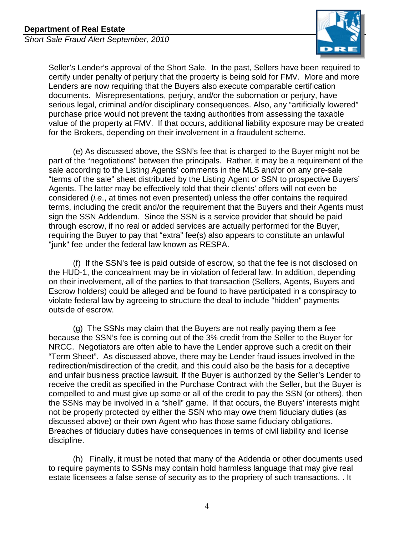

 Seller's Lender's approval of the Short Sale. In the past, Sellers have been required to documents. Misrepresentations, perjury, and/or the subornation or perjury, have purchase price would not prevent the taxing authorities from assessing the taxable value of the property at FMV. If that occurs, additional liability exposure may be created for the Brokers, depending on their involvement in a fraudulent scheme. certify under penalty of perjury that the property is being sold for FMV. More and more Lenders are now requiring that the Buyers also execute comparable certification serious legal, criminal and/or disciplinary consequences. Also, any "artificially lowered"

 for the Brokers, depending on their involvement in a fraudulent scheme. (e) As discussed above, the SSN's fee that is charged to the Buyer might not be part of the "negotiations" between the principals. Rather, it may be a requirement of the "terms of the sale" sheet distributed by the Listing Agent or SSN to prospective Buyers' Agents. The latter may be effectively told that their clients' offers will not even be considered (*i.e*., at times not even presented) unless the offer contains the required terms, including the credit and/or the requirement that the Buyers and their Agents must sign the SSN Addendum. Since the SSN is a service provider that should be paid requiring the Buyer to pay that "extra" fee(s) also appears to constitute an unlawful "junk" fee under the federal law known as RESPA. sale according to the Listing Agents' comments in the MLS and/or on any pre-sale through escrow, if no real or added services are actually performed for the Buyer,

 (f) If the SSN's fee is paid outside of escrow, so that the fee is not disclosed on the HUD-1, the concealment may be in violation of federal law. In addition, depending violate federal law by agreeing to structure the deal to include "hidden" payments on their involvement, all of the parties to that transaction (Sellers, Agents, Buyers and Escrow holders) could be alleged and be found to have participated in a conspiracy to outside of escrow.

 (g) The SSNs may claim that the Buyers are not really paying them a fee because the SSN's fee is coming out of the 3% credit from the Seller to the Buyer for NRCC. Negotiators are often able to have the Lender approve such a credit on their "Term Sheet". As discussed above, there may be Lender fraud issues involved in the the SSNs may be involved in a "shell" game. If that occurs, the Buyers' interests might discussed above) or their own Agent who has those same fiduciary obligations. redirection/misdirection of the credit, and this could also be the basis for a deceptive and unfair business practice lawsuit. If the Buyer is authorized by the Seller's Lender to receive the credit as specified in the Purchase Contract with the Seller, but the Buyer is compelled to and must give up some or all of the credit to pay the SSN (or others), then not be properly protected by either the SSN who may owe them fiduciary duties (as Breaches of fiduciary duties have consequences in terms of civil liability and license discipline.

 (h) Finally, it must be noted that many of the Addenda or other documents used to require payments to SSNs may contain hold harmless language that may give real estate licensees a false sense of security as to the propriety of such transactions. . It